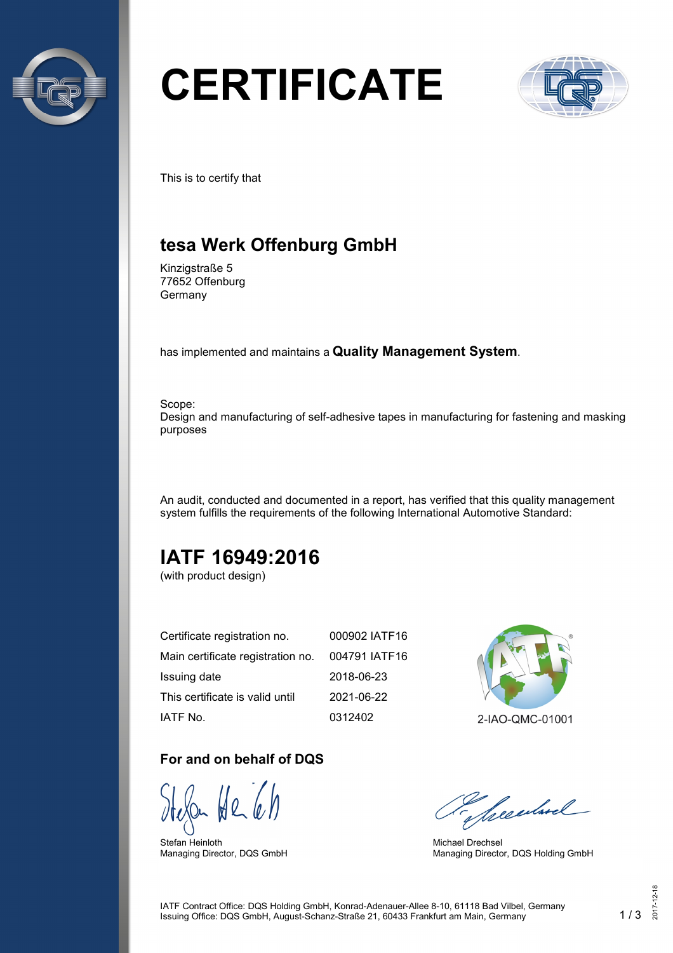

# **CERTIFICATE**



This is to certify that

## **tesa Werk Offenburg GmbH**

Kinzigstraße 5 77652 Offenburg Germany

has implemented and maintains a **Quality Management System**.

Scope: Design and manufacturing of self-adhesive tapes in manufacturing for fastening and masking purposes

An audit, conducted and documented in a report, has verified that this quality management system fulfills the requirements of the following International Automotive Standard:

# **IATF 16949:2016**

(with product design)

| Certificate registration no.      | 000902 IATF16 |
|-----------------------------------|---------------|
| Main certificate registration no. | 004791 IATF16 |
| Issuing date                      | 2018-06-23    |
| This certificate is valid until   | 2021-06-22    |
| IATF No.                          | 0312402       |

#### **For and on behalf of DQS**

Stefan Heinloth Managing Director, DQS GmbH



2-IAO-QMC-01001

Seculard

Michael Drechsel Managing Director, DQS Holding GmbH

IATF Contract Office: DQS Holding GmbH, Konrad-Adenauer-Allee 8-10, 61118 Bad Vilbel, Germany Issuing Office: DQS GmbH, August-Schanz-Straße 21, 60433 Frankfurt am Main, Germany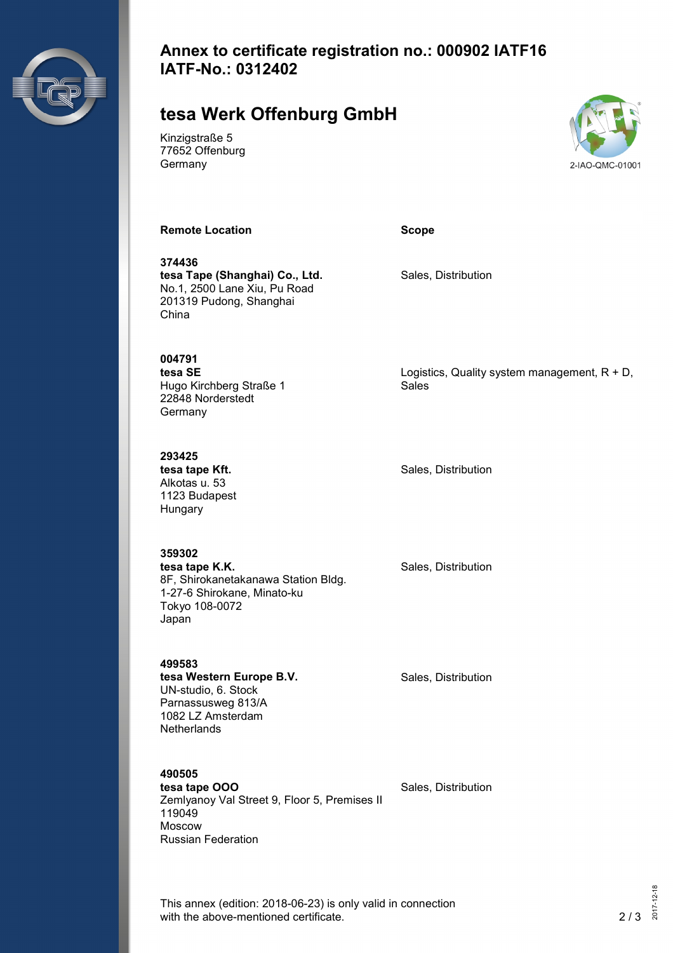

### **Annex to certificate registration no.: 000902 IATF16 IATF-No.: 0312402**

## **tesa Werk Offenburg GmbH**

Kinzigstraße 5 77652 Offenburg Germany



**Remote Location Scope**

**374436 tesa Tape (Shanghai) Co., Ltd.** No.1, 2500 Lane Xiu, Pu Road 201319 Pudong, Shanghai China

Sales

Sales, Distribution

**004791 tesa SE** Hugo Kirchberg Straße 1 22848 Norderstedt

**293425 tesa tape Kft.** Alkotas u. 53 1123 Budapest Hungary

**Germany** 

Sales, Distribution

Logistics, Quality system management,  $R + D$ ,

**359302 tesa tape K.K.** 8F, Shirokanetakanawa Station Bldg. 1-27-6 Shirokane, Minato-ku Tokyo 108-0072 Japan

Sales, Distribution

Sales, Distribution

**499583 tesa Western Europe B.V.** UN-studio, 6. Stock Parnassusweg 813/A 1082 LZ Amsterdam **Netherlands** 

**490505**

**tesa tape OOO** Zemlyanoy Val Street 9, Floor 5, Premises II 119049 Moscow Russian Federation

Sales, Distribution

This annex (edition: 2018-06-23) is only valid in connection with the above-mentioned certificate. 2/3